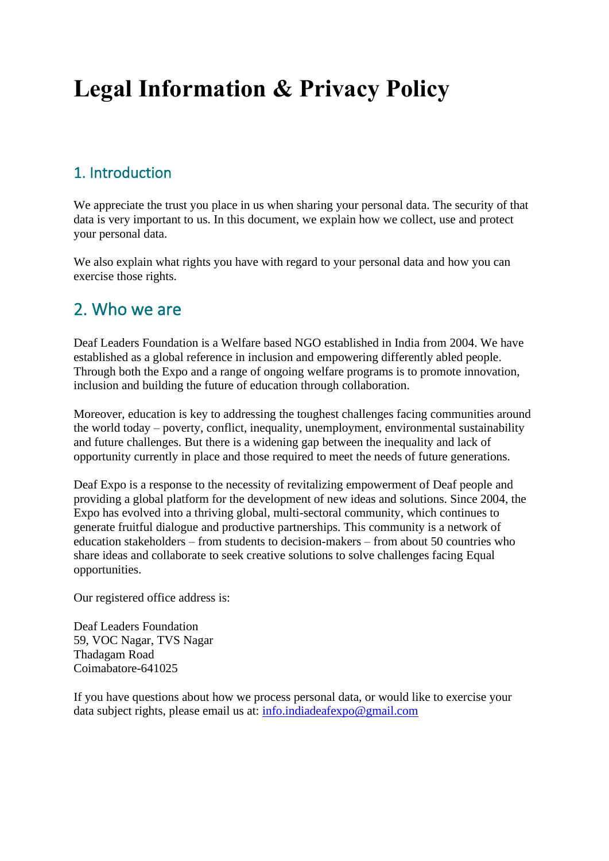# **Legal Information & Privacy Policy**

### 1. Introduction

We appreciate the trust you place in us when sharing your personal data. The security of that data is very important to us. In this document, we explain how we collect, use and protect your personal data.

We also explain what rights you have with regard to your personal data and how you can exercise those rights.

## 2. Who we are

Deaf Leaders Foundation is a Welfare based NGO established in India from 2004. We have established as a global reference in inclusion and empowering differently abled people. Through both the Expo and a range of ongoing welfare programs is to promote innovation, inclusion and building the future of education through collaboration.

Moreover, education is key to addressing the toughest challenges facing communities around the world today – poverty, conflict, inequality, unemployment, environmental sustainability and future challenges. But there is a widening gap between the inequality and lack of opportunity currently in place and those required to meet the needs of future generations.

Deaf Expo is a response to the necessity of revitalizing empowerment of Deaf people and providing a global platform for the development of new ideas and solutions. Since 2004, the Expo has evolved into a thriving global, multi-sectoral community, which continues to generate fruitful dialogue and productive partnerships. This community is a network of education stakeholders – from students to decision-makers – from about 50 countries who share ideas and collaborate to seek creative solutions to solve challenges facing Equal opportunities.

Our registered office address is:

Deaf Leaders Foundation 59, VOC Nagar, TVS Nagar Thadagam Road Coimabatore-641025

If you have questions about how we process personal data, or would like to exercise your data subject rights, please email us at: [info.indiadeafexpo@gmail.com](mailto:info.indiadeafexpo@gmail.com)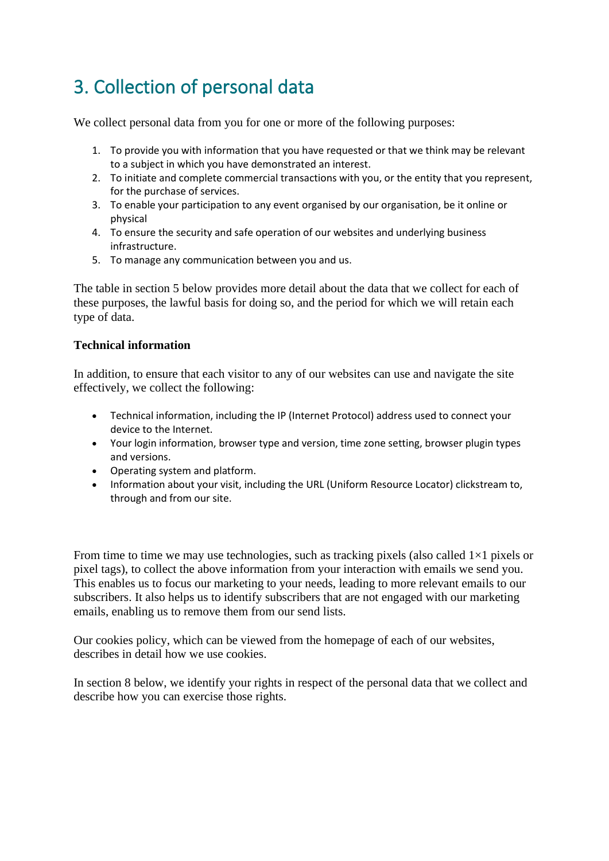## 3. Collection of personal data

We collect personal data from you for one or more of the following purposes:

- 1. To provide you with information that you have requested or that we think may be relevant to a subject in which you have demonstrated an interest.
- 2. To initiate and complete commercial transactions with you, or the entity that you represent, for the purchase of services.
- 3. To enable your participation to any event organised by our organisation, be it online or physical
- 4. To ensure the security and safe operation of our websites and underlying business infrastructure.
- 5. To manage any communication between you and us.

The table in section 5 below provides more detail about the data that we collect for each of these purposes, the lawful basis for doing so, and the period for which we will retain each type of data.

#### **Technical information**

In addition, to ensure that each visitor to any of our websites can use and navigate the site effectively, we collect the following:

- Technical information, including the IP (Internet Protocol) address used to connect your device to the Internet.
- Your login information, browser type and version, time zone setting, browser plugin types and versions.
- Operating system and platform.
- Information about your visit, including the URL (Uniform Resource Locator) clickstream to, through and from our site.

From time to time we may use technologies, such as tracking pixels (also called  $1\times1$  pixels or pixel tags), to collect the above information from your interaction with emails we send you. This enables us to focus our marketing to your needs, leading to more relevant emails to our subscribers. It also helps us to identify subscribers that are not engaged with our marketing emails, enabling us to remove them from our send lists.

Our cookies policy, which can be viewed from the homepage of each of our websites, describes in detail how we use cookies.

In section 8 below, we identify your rights in respect of the personal data that we collect and describe how you can exercise those rights.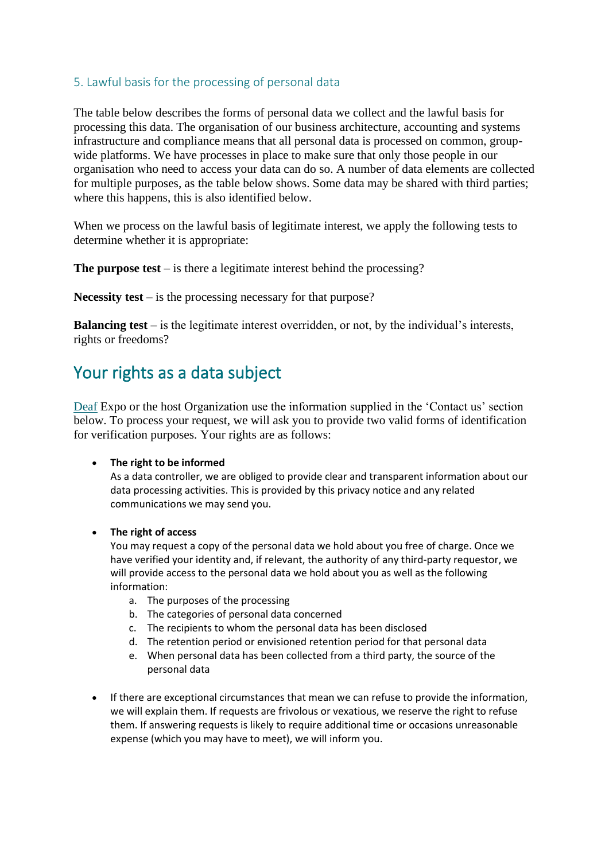#### 5. Lawful basis for the processing of personal data

The table below describes the forms of personal data we collect and the lawful basis for processing this data. The organisation of our business architecture, accounting and systems infrastructure and compliance means that all personal data is processed on common, groupwide platforms. We have processes in place to make sure that only those people in our organisation who need to access your data can do so. A number of data elements are collected for multiple purposes, as the table below shows. Some data may be shared with third parties; where this happens, this is also identified below.

When we process on the lawful basis of legitimate interest, we apply the following tests to determine whether it is appropriate:

**The purpose test** – is there a legitimate interest behind the processing?

**Necessity test** – is the processing necessary for that purpose?

**Balancing test** – is the legitimate interest overridden, or not, by the individual's interests, rights or freedoms?

## Your rights as a data subject

[Deaf](about:blank) Expo or the host Organization use the information supplied in the 'Contact us' section below. To process your request, we will ask you to provide two valid forms of identification for verification purposes. Your rights are as follows:

#### • **The right to be informed**

As a data controller, we are obliged to provide clear and transparent information about our data processing activities. This is provided by this privacy notice and any related communications we may send you.

#### • **The right of access**

You may request a copy of the personal data we hold about you free of charge. Once we have verified your identity and, if relevant, the authority of any third-party requestor, we will provide access to the personal data we hold about you as well as the following information:

- a. The purposes of the processing
- b. The categories of personal data concerned
- c. The recipients to whom the personal data has been disclosed
- d. The retention period or envisioned retention period for that personal data
- e. When personal data has been collected from a third party, the source of the personal data
- If there are exceptional circumstances that mean we can refuse to provide the information, we will explain them. If requests are frivolous or vexatious, we reserve the right to refuse them. If answering requests is likely to require additional time or occasions unreasonable expense (which you may have to meet), we will inform you.